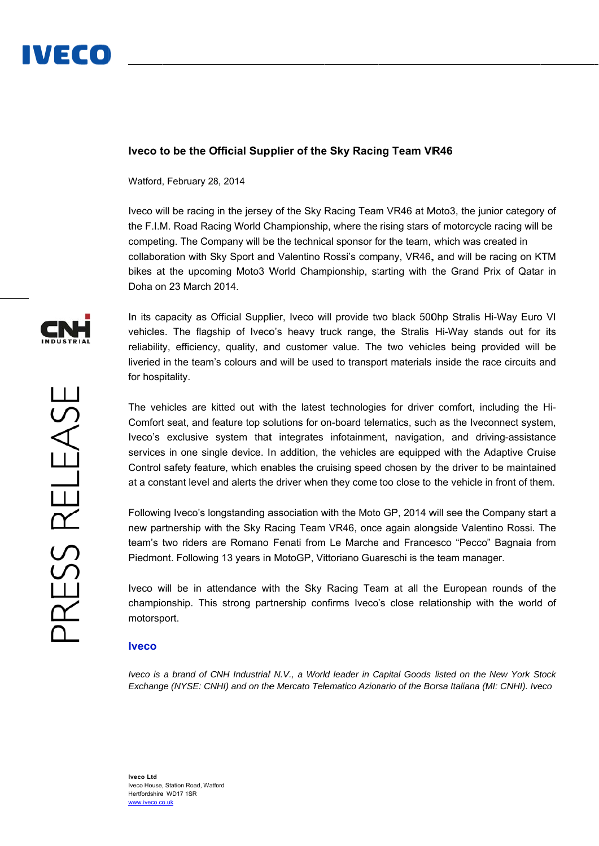

## **lveco to be the Official Supplier of the Sky Racing Team VR46**

Watford , February 28 8, 2014

Iveco will be racing in the jersey of the Sky Racing Team VR46 at Moto3, the junior category of the F.I.M. Road Racing World Championship, where the rising stars of motorcycle racing will be competing. The Company will be the technical sponsor for the team, which was created in collaboration with Sky Sport and Valentino Rossi's company, VR46, and will be racing on KTM bikes at the upcoming Moto3 World Championship, starting with the Grand Prix of Qatar in Doha on 23 March 2014.

In its capacity as Official Supplier, Iveco will provide two black 500hp Stralis Hi-Way Euro VI vehicles. The flagship of Iveco's heavy truck range, the Stralis Hi-Way stands out for its reliability, efficiency, quality, and customer value. The two vehicles being provided will be liveried in the team's colours and will be used to transport materials inside the race circuits and for hospitality.

The vehicles are kitted out with the latest technologies for driver comfort, including the Hi-Comfort seat, and feature top solutions for on-board telematics, such as the Iveconnect system, Iveco's exclusive system that integrates infotainment, navigation, and driving-assistance services in one single device. In addition, the vehicles are equipped with the Adaptive Cruise Control safety feature, which enables the cruising speed chosen by the driver to be maintained at a constant level and alerts the driver when they come too close to the vehicle in front of them.

Following Iveco's longstanding association with the Moto GP, 2014 will see the Company start a new partnership with the Sky Racing Team VR46, once again alongside Valentino Rossi. The team's two riders are Romano Fenati from Le Marche and Francesco "Pecco" Bagnaia from Piedmont. Following 13 years in MotoGP, Vittoriano Guareschi is the team manager.

Iveco will be in attendance with the Sky Racing Team at all the European rounds of the championship. This strong partnership confirms Iveco's close relationship with the world of motorsp port.

## **Iveco**

*lveco is a brand of CNH Industrial N.V., a World leader in Capital Goods listed on the New York Stock Exchange (NYSE: CNHI) and on the Mercato Telematico Azionario of the Borsa Italiana (MI: CNHI). Iveco*